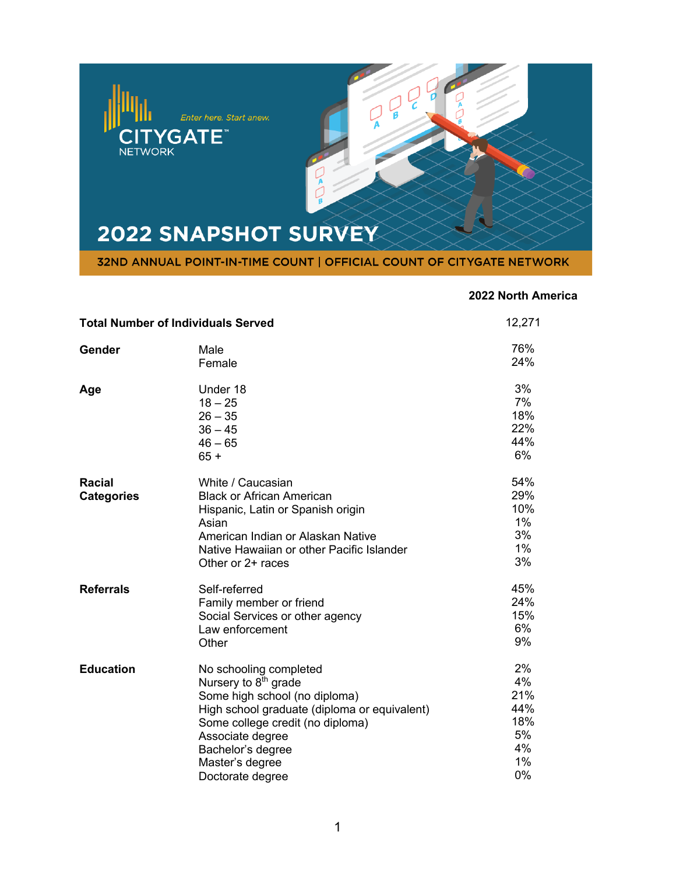

## **2022 North America**

| <b>Total Number of Individuals Served</b> |                                                                                                                                                                                                                                                                 | 12,271                                                |
|-------------------------------------------|-----------------------------------------------------------------------------------------------------------------------------------------------------------------------------------------------------------------------------------------------------------------|-------------------------------------------------------|
| Gender                                    | Male<br>Female                                                                                                                                                                                                                                                  | 76%<br>24%                                            |
| Age                                       | Under 18<br>$18 - 25$<br>$26 - 35$<br>$36 - 45$<br>$46 - 65$<br>$65 +$                                                                                                                                                                                          | 3%<br>7%<br>18%<br>22%<br>44%<br>6%                   |
| <b>Racial</b><br><b>Categories</b>        | White / Caucasian<br><b>Black or African American</b><br>Hispanic, Latin or Spanish origin<br>Asian<br>American Indian or Alaskan Native<br>Native Hawaiian or other Pacific Islander<br>Other or 2+ races                                                      | 54%<br>29%<br>10%<br>$1\%$<br>3%<br>1%<br>3%          |
| <b>Referrals</b>                          | Self-referred<br>Family member or friend<br>Social Services or other agency<br>Law enforcement<br>Other                                                                                                                                                         | 45%<br>24%<br>15%<br>6%<br>9%                         |
| <b>Education</b>                          | No schooling completed<br>Nursery to 8 <sup>th</sup> grade<br>Some high school (no diploma)<br>High school graduate (diploma or equivalent)<br>Some college credit (no diploma)<br>Associate degree<br>Bachelor's degree<br>Master's degree<br>Doctorate degree | 2%<br>4%<br>21%<br>44%<br>18%<br>5%<br>4%<br>1%<br>0% |